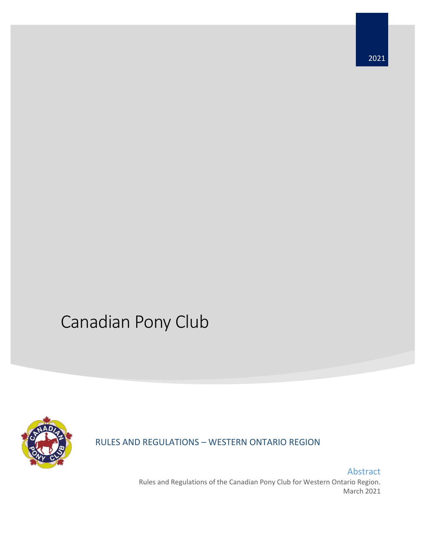# Canadian Pony Club



RULES AND REGULATIONS – WESTERN ONTARIO REGION

Abstract Rules and Regulations of the Canadian Pony Club for Western Ontario Region. March 2021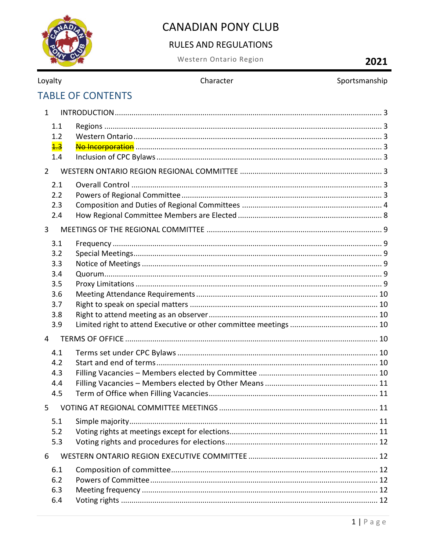

### **RULES AND REGULATIONS**

Western Ontario Region

## 2021

| Loyalty |  |
|---------|--|
|         |  |

#### Character

#### Sportsmanship

## **TABLE OF CONTENTS**

| $\mathbf{1}$    |  |  |  |  |
|-----------------|--|--|--|--|
| 1.1             |  |  |  |  |
| 1.2             |  |  |  |  |
| $\frac{1.3}{1}$ |  |  |  |  |
| 1.4             |  |  |  |  |
| $\overline{2}$  |  |  |  |  |
| 2.1             |  |  |  |  |
| 2.2             |  |  |  |  |
| 2.3             |  |  |  |  |
| 2.4             |  |  |  |  |
| 3               |  |  |  |  |
| 3.1             |  |  |  |  |
| 3.2             |  |  |  |  |
| 3.3             |  |  |  |  |
| 3.4             |  |  |  |  |
| 3.5             |  |  |  |  |
| 3.6             |  |  |  |  |
| 3.7             |  |  |  |  |
| 3.8             |  |  |  |  |
| 3.9             |  |  |  |  |
| $\overline{4}$  |  |  |  |  |
| 4.1             |  |  |  |  |
| 4.2             |  |  |  |  |
| 4.3             |  |  |  |  |
| 4.4             |  |  |  |  |
| 4.5             |  |  |  |  |
| 5               |  |  |  |  |
| 5.1             |  |  |  |  |
| 5.2             |  |  |  |  |
| 5.3             |  |  |  |  |
| 6               |  |  |  |  |
| 6.1             |  |  |  |  |
| 6.2             |  |  |  |  |
| 6.3             |  |  |  |  |
| 6.4             |  |  |  |  |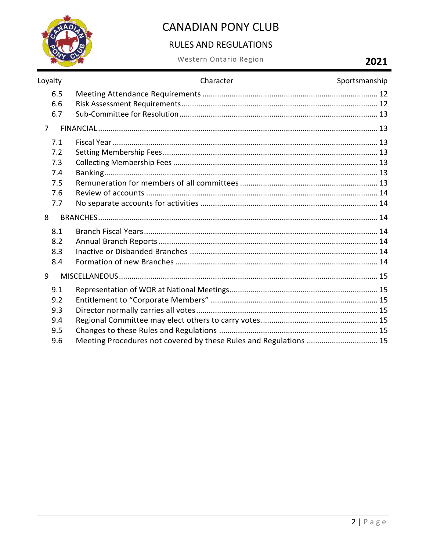

#### **RULES AND REGULATIONS**

Western Ontario Region

### 2021

| Loyalty                                       | Character                                                         | Sportsmanship |
|-----------------------------------------------|-------------------------------------------------------------------|---------------|
| 6.5<br>6.6<br>6.7                             |                                                                   |               |
| $\overline{7}$                                |                                                                   |               |
| 7.1<br>7.2<br>7.3<br>7.4<br>7.5<br>7.6<br>7.7 |                                                                   |               |
| 8                                             |                                                                   |               |
| 8.1<br>8.2<br>8.3<br>8.4                      |                                                                   |               |
| 9                                             |                                                                   |               |
| 9.1<br>9.2<br>9.3<br>9.4<br>9.5<br>9.6        | Meeting Procedures not covered by these Rules and Regulations  15 |               |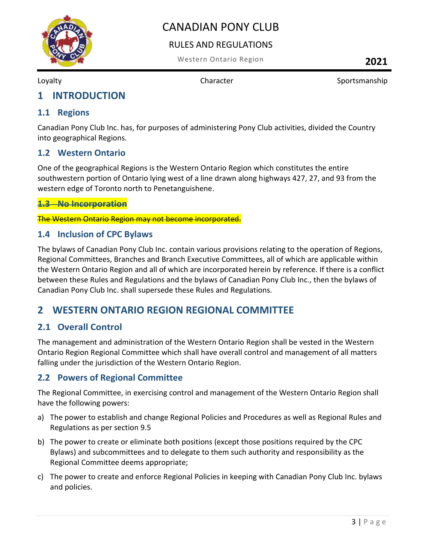

#### RULES AND REGULATIONS

Western Ontario Region **2021**

Loyalty **Character Character** Sportsmanship

### <span id="page-3-0"></span>**1 INTRODUCTION**

#### <span id="page-3-1"></span>**1.1 Regions**

Canadian Pony Club Inc. has, for purposes of administering Pony Club activities, divided the Country into geographical Regions.

#### <span id="page-3-2"></span>**1.2 Western Ontario**

One of the geographical Regions is the Western Ontario Region which constitutes the entire southwestern portion of Ontario lying west of a line drawn along highways 427, 27, and 93 from the western edge of Toronto north to Penetanguishene.

#### <span id="page-3-3"></span>**1.3 No Incorporation**

The Western Ontario Region may not become incorporated.

#### <span id="page-3-4"></span>**1.4 Inclusion of CPC Bylaws**

The bylaws of Canadian Pony Club Inc. contain various provisions relating to the operation of Regions, Regional Committees, Branches and Branch Executive Committees, all of which are applicable within the Western Ontario Region and all of which are incorporated herein by reference. If there is a conflict between these Rules and Regulations and the bylaws of Canadian Pony Club Inc., then the bylaws of Canadian Pony Club Inc. shall supersede these Rules and Regulations.

#### <span id="page-3-5"></span>**2 WESTERN ONTARIO REGION REGIONAL COMMITTEE**

#### <span id="page-3-6"></span>**2.1 Overall Control**

The management and administration of the Western Ontario Region shall be vested in the Western Ontario Region Regional Committee which shall have overall control and management of all matters falling under the jurisdiction of the Western Ontario Region.

#### <span id="page-3-7"></span>**2.2 Powers of Regional Committee**

The Regional Committee, in exercising control and management of the Western Ontario Region shall have the following powers:

- a) The power to establish and change Regional Policies and Procedures as well as Regional Rules and Regulations as per section 9.5
- b) The power to create or eliminate both positions (except those positions required by the CPC Bylaws) and subcommittees and to delegate to them such authority and responsibility as the Regional Committee deems appropriate;
- c) The power to create and enforce Regional Policies in keeping with Canadian Pony Club Inc. bylaws and policies.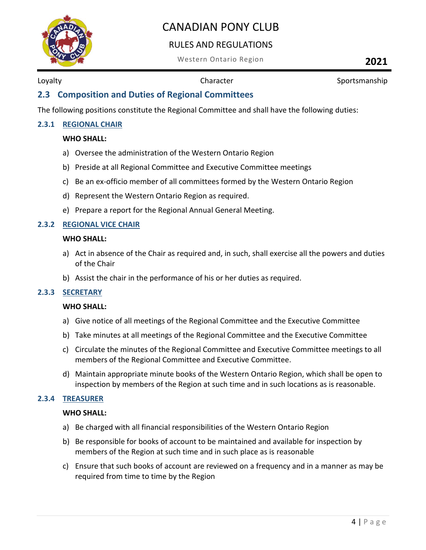

#### RULES AND REGULATIONS

Western Ontario Region **2021**

Loyalty **Character Character** Sportsmanship

#### <span id="page-4-0"></span>**2.3 Composition and Duties of Regional Committees**

The following positions constitute the Regional Committee and shall have the following duties:

#### **2.3.1 REGIONAL CHAIR**

#### **WHO SHALL:**

- a) Oversee the administration of the Western Ontario Region
- b) Preside at all Regional Committee and Executive Committee meetings
- c) Be an ex-officio member of all committees formed by the Western Ontario Region
- d) Represent the Western Ontario Region as required.
- e) Prepare a report for the Regional Annual General Meeting.

#### **2.3.2 REGIONAL VICE CHAIR**

#### **WHO SHALL:**

- a) Act in absence of the Chair as required and, in such, shall exercise all the powers and duties of the Chair
- b) Assist the chair in the performance of his or her duties as required.

#### **2.3.3 SECRETARY**

#### **WHO SHALL:**

- a) Give notice of all meetings of the Regional Committee and the Executive Committee
- b) Take minutes at all meetings of the Regional Committee and the Executive Committee
- c) Circulate the minutes of the Regional Committee and Executive Committee meetings to all members of the Regional Committee and Executive Committee.
- d) Maintain appropriate minute books of the Western Ontario Region, which shall be open to inspection by members of the Region at such time and in such locations as is reasonable.

#### **2.3.4 TREASURER**

#### **WHO SHALL:**

- a) Be charged with all financial responsibilities of the Western Ontario Region
- b) Be responsible for books of account to be maintained and available for inspection by members of the Region at such time and in such place as is reasonable
- c) Ensure that such books of account are reviewed on a frequency and in a manner as may be required from time to time by the Region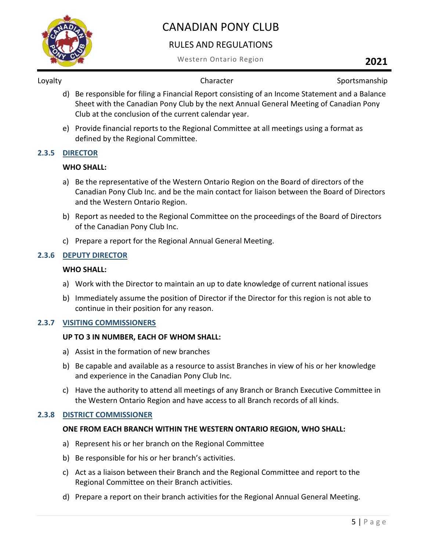

#### RULES AND REGULATIONS

Western Ontario Region **2021**

Loyalty **Sportsmanship** Character **Character** Sportsmanship

- d) Be responsible for filing a Financial Report consisting of an Income Statement and a Balance Sheet with the Canadian Pony Club by the next Annual General Meeting of Canadian Pony Club at the conclusion of the current calendar year.
- e) Provide financial reports to the Regional Committee at all meetings using a format as defined by the Regional Committee.

#### **2.3.5 DIRECTOR**

#### **WHO SHALL:**

- a) Be the representative of the Western Ontario Region on the Board of directors of the Canadian Pony Club Inc. and be the main contact for liaison between the Board of Directors and the Western Ontario Region.
- b) Report as needed to the Regional Committee on the proceedings of the Board of Directors of the Canadian Pony Club Inc.
- c) Prepare a report for the Regional Annual General Meeting.

#### **2.3.6 DEPUTY DIRECTOR**

#### **WHO SHALL:**

- a) Work with the Director to maintain an up to date knowledge of current national issues
- b) Immediately assume the position of Director if the Director for this region is not able to continue in their position for any reason.

#### **2.3.7 VISITING COMMISSIONERS**

#### **UP TO 3 IN NUMBER, EACH OF WHOM SHALL:**

- a) Assist in the formation of new branches
- b) Be capable and available as a resource to assist Branches in view of his or her knowledge and experience in the Canadian Pony Club Inc.
- c) Have the authority to attend all meetings of any Branch or Branch Executive Committee in the Western Ontario Region and have access to all Branch records of all kinds.

#### **2.3.8 DISTRICT COMMISSIONER**

#### **ONE FROM EACH BRANCH WITHIN THE WESTERN ONTARIO REGION, WHO SHALL:**

- a) Represent his or her branch on the Regional Committee
- b) Be responsible for his or her branch's activities.
- c) Act as a liaison between their Branch and the Regional Committee and report to the Regional Committee on their Branch activities.
- d) Prepare a report on their branch activities for the Regional Annual General Meeting.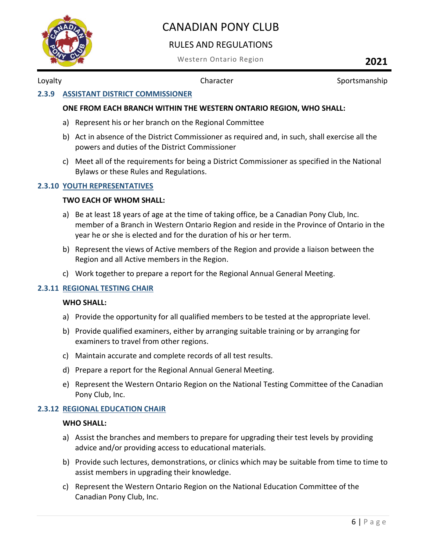

#### RULES AND REGULATIONS

Western Ontario Region **2021**

Loyalty **Character Character** Sportsmanship

#### **2.3.9 ASSISTANT DISTRICT COMMISSIONER**

#### **ONE FROM EACH BRANCH WITHIN THE WESTERN ONTARIO REGION, WHO SHALL:**

- a) Represent his or her branch on the Regional Committee
- b) Act in absence of the District Commissioner as required and, in such, shall exercise all the powers and duties of the District Commissioner
- c) Meet all of the requirements for being a District Commissioner as specified in the National Bylaws or these Rules and Regulations.

#### **2.3.10 YOUTH REPRESENTATIVES**

#### **TWO EACH OF WHOM SHALL:**

- a) Be at least 18 years of age at the time of taking office, be a Canadian Pony Club, Inc. member of a Branch in Western Ontario Region and reside in the Province of Ontario in the year he or she is elected and for the duration of his or her term.
- b) Represent the views of Active members of the Region and provide a liaison between the Region and all Active members in the Region.
- c) Work together to prepare a report for the Regional Annual General Meeting.

#### **2.3.11 REGIONAL TESTING CHAIR**

#### **WHO SHALL:**

- a) Provide the opportunity for all qualified members to be tested at the appropriate level.
- b) Provide qualified examiners, either by arranging suitable training or by arranging for examiners to travel from other regions.
- c) Maintain accurate and complete records of all test results.
- d) Prepare a report for the Regional Annual General Meeting.
- e) Represent the Western Ontario Region on the National Testing Committee of the Canadian Pony Club, Inc.

#### **2.3.12 REGIONAL EDUCATION CHAIR**

#### **WHO SHALL:**

- a) Assist the branches and members to prepare for upgrading their test levels by providing advice and/or providing access to educational materials.
- b) Provide such lectures, demonstrations, or clinics which may be suitable from time to time to assist members in upgrading their knowledge.
- c) Represent the Western Ontario Region on the National Education Committee of the Canadian Pony Club, Inc.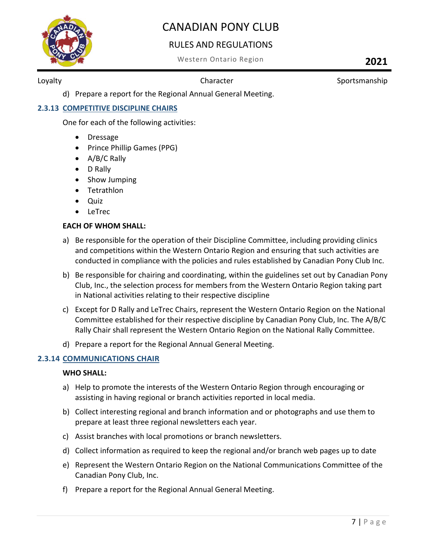

#### RULES AND REGULATIONS

Western Ontario Region **2021**

Loyalty **Character Character** Sportsmanship

d) Prepare a report for the Regional Annual General Meeting.

#### **2.3.13 COMPETITIVE DISCIPLINE CHAIRS**

One for each of the following activities:

- Dressage
- Prince Phillip Games (PPG)
- A/B/C Rally
- D Rally
- Show Jumping
- Tetrathlon
- Quiz
- LeTrec

#### **EACH OF WHOM SHALL:**

- a) Be responsible for the operation of their Discipline Committee, including providing clinics and competitions within the Western Ontario Region and ensuring that such activities are conducted in compliance with the policies and rules established by Canadian Pony Club Inc.
- b) Be responsible for chairing and coordinating, within the guidelines set out by Canadian Pony Club, Inc., the selection process for members from the Western Ontario Region taking part in National activities relating to their respective discipline
- c) Except for D Rally and LeTrec Chairs, represent the Western Ontario Region on the National Committee established for their respective discipline by Canadian Pony Club, Inc. The A/B/C Rally Chair shall represent the Western Ontario Region on the National Rally Committee.
- d) Prepare a report for the Regional Annual General Meeting.

#### **2.3.14 COMMUNICATIONS CHAIR**

#### **WHO SHALL:**

- a) Help to promote the interests of the Western Ontario Region through encouraging or assisting in having regional or branch activities reported in local media.
- b) Collect interesting regional and branch information and or photographs and use them to prepare at least three regional newsletters each year.
- c) Assist branches with local promotions or branch newsletters.
- d) Collect information as required to keep the regional and/or branch web pages up to date
- e) Represent the Western Ontario Region on the National Communications Committee of the Canadian Pony Club, Inc.
- f) Prepare a report for the Regional Annual General Meeting.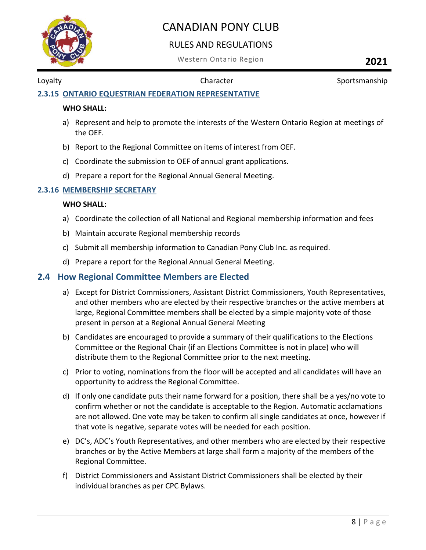

#### RULES AND REGULATIONS

Western Ontario Region **2021**

Loyalty **Character Character** Sportsmanship

#### **2.3.15 ONTARIO EQUESTRIAN FEDERATION REPRESENTATIVE**

#### **WHO SHALL:**

- a) Represent and help to promote the interests of the Western Ontario Region at meetings of the OEF.
- b) Report to the Regional Committee on items of interest from OEF.
- c) Coordinate the submission to OEF of annual grant applications.
- d) Prepare a report for the Regional Annual General Meeting.

#### **2.3.16 MEMBERSHIP SECRETARY**

#### **WHO SHALL:**

- a) Coordinate the collection of all National and Regional membership information and fees
- b) Maintain accurate Regional membership records
- c) Submit all membership information to Canadian Pony Club Inc. as required.
- d) Prepare a report for the Regional Annual General Meeting.

#### <span id="page-8-0"></span>**2.4 How Regional Committee Members are Elected**

- a) Except for District Commissioners, Assistant District Commissioners, Youth Representatives, and other members who are elected by their respective branches or the active members at large, Regional Committee members shall be elected by a simple majority vote of those present in person at a Regional Annual General Meeting
- b) Candidates are encouraged to provide a summary of their qualifications to the Elections Committee or the Regional Chair (if an Elections Committee is not in place) who will distribute them to the Regional Committee prior to the next meeting.
- c) Prior to voting, nominations from the floor will be accepted and all candidates will have an opportunity to address the Regional Committee.
- d) If only one candidate puts their name forward for a position, there shall be a yes/no vote to confirm whether or not the candidate is acceptable to the Region. Automatic acclamations are not allowed. One vote may be taken to confirm all single candidates at once, however if that vote is negative, separate votes will be needed for each position.
- e) DC's, ADC's Youth Representatives, and other members who are elected by their respective branches or by the Active Members at large shall form a majority of the members of the Regional Committee.
- f) District Commissioners and Assistant District Commissioners shall be elected by their individual branches as per CPC Bylaws.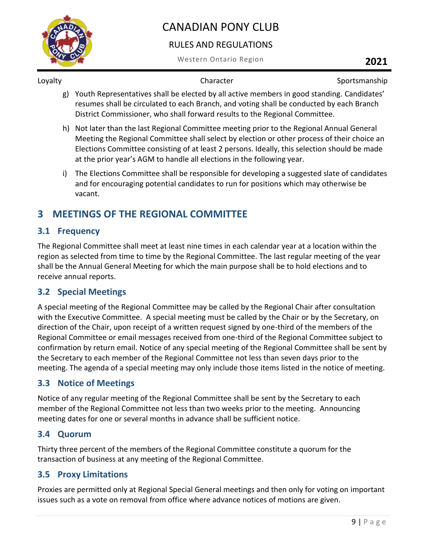

#### RULES AND REGULATIONS

Western Ontario Region **2021**

Loyalty **Character Character** Sportsmanship

- g) Youth Representatives shall be elected by all active members in good standing. Candidates' resumes shall be circulated to each Branch, and voting shall be conducted by each Branch District Commissioner, who shall forward results to the Regional Committee.
- h) Not later than the last Regional Committee meeting prior to the Regional Annual General Meeting the Regional Committee shall select by election or other process of their choice an Elections Committee consisting of at least 2 persons. Ideally, this selection should be made at the prior year's AGM to handle all elections in the following year.
- i) The Elections Committee shall be responsible for developing a suggested slate of candidates and for encouraging potential candidates to run for positions which may otherwise be vacant.

## <span id="page-9-0"></span>**3 MEETINGS OF THE REGIONAL COMMITTEE**

#### <span id="page-9-1"></span>**3.1 Frequency**

The Regional Committee shall meet at least nine times in each calendar year at a location within the region as selected from time to time by the Regional Committee. The last regular meeting of the year shall be the Annual General Meeting for which the main purpose shall be to hold elections and to receive annual reports.

#### <span id="page-9-2"></span>**3.2 Special Meetings**

A special meeting of the Regional Committee may be called by the Regional Chair after consultation with the Executive Committee. A special meeting must be called by the Chair or by the Secretary, on direction of the Chair, upon receipt of a written request signed by one-third of the members of the Regional Committee or email messages received from one-third of the Regional Committee subject to confirmation by return email. Notice of any special meeting of the Regional Committee shall be sent by the Secretary to each member of the Regional Committee not less than seven days prior to the meeting. The agenda of a special meeting may only include those items listed in the notice of meeting.

#### <span id="page-9-3"></span>**3.3 Notice of Meetings**

Notice of any regular meeting of the Regional Committee shall be sent by the Secretary to each member of the Regional Committee not less than two weeks prior to the meeting. Announcing meeting dates for one or several months in advance shall be sufficient notice.

#### <span id="page-9-4"></span>**3.4 Quorum**

Thirty three percent of the members of the Regional Committee constitute a quorum for the transaction of business at any meeting of the Regional Committee.

#### <span id="page-9-5"></span>**3.5 Proxy Limitations**

Proxies are permitted only at Regional Special General meetings and then only for voting on important issues such as a vote on removal from office where advance notices of motions are given.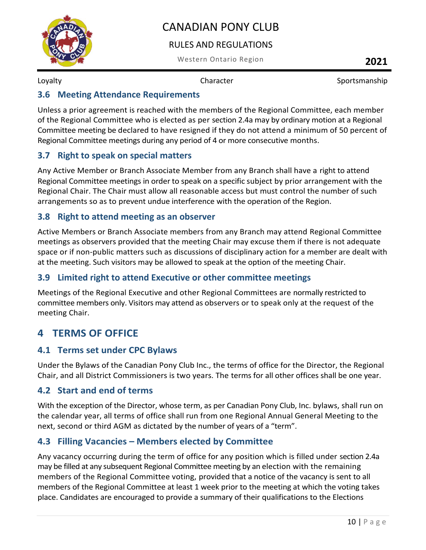

#### RULES AND REGULATIONS

Western Ontario Region **2021**

Loyalty **Character Character** Sportsmanship

#### <span id="page-10-0"></span>**3.6 Meeting Attendance Requirements**

Unless a prior agreement is reached with the members of the Regional Committee, each member of the Regional Committee who is elected as per section 2.4a may by ordinary motion at a Regional Committee meeting be declared to have resigned if they do not attend a minimum of 50 percent of Regional Committee meetings during any period of 4 or more consecutive months.

#### <span id="page-10-1"></span>**3.7 Right to speak on special matters**

Any Active Member or Branch Associate Member from any Branch shall have a right to attend Regional Committee meetings in order to speak on a specific subject by prior arrangement with the Regional Chair. The Chair must allow all reasonable access but must control the number of such arrangements so as to prevent undue interference with the operation of the Region.

#### <span id="page-10-2"></span>**3.8 Right to attend meeting as an observer**

Active Members or Branch Associate members from any Branch may attend Regional Committee meetings as observers provided that the meeting Chair may excuse them if there is not adequate space or if non-public matters such as discussions of disciplinary action for a member are dealt with at the meeting. Such visitors may be allowed to speak at the option of the meeting Chair.

#### <span id="page-10-3"></span>**3.9 Limited right to attend Executive or other committee meetings**

Meetings of the Regional Executive and other Regional Committees are normally restricted to committee members only. Visitors may attend as observers or to speak only at the request of the meeting Chair.

### <span id="page-10-4"></span>**4 TERMS OF OFFICE**

#### <span id="page-10-5"></span>**4.1 Terms set under CPC Bylaws**

Under the Bylaws of the Canadian Pony Club Inc., the terms of office for the Director, the Regional Chair, and all District Commissioners is two years. The terms for all other offices shall be one year.

#### <span id="page-10-6"></span>**4.2 Start and end of terms**

With the exception of the Director, whose term, as per Canadian Pony Club, Inc. bylaws, shall run on the calendar year, all terms of office shall run from one Regional Annual General Meeting to the next, second or third AGM as dictated by the number of years of a "term".

#### <span id="page-10-7"></span>**4.3 Filling Vacancies – Members elected by Committee**

Any vacancy occurring during the term of office for any position which is filled under section 2.4a may be filled at any subsequent Regional Committee meeting by an election with the remaining members of the Regional Committee voting, provided that a notice of the vacancy is sent to all members of the Regional Committee at least 1 week prior to the meeting at which the voting takes place. Candidates are encouraged to provide a summary of their qualifications to the Elections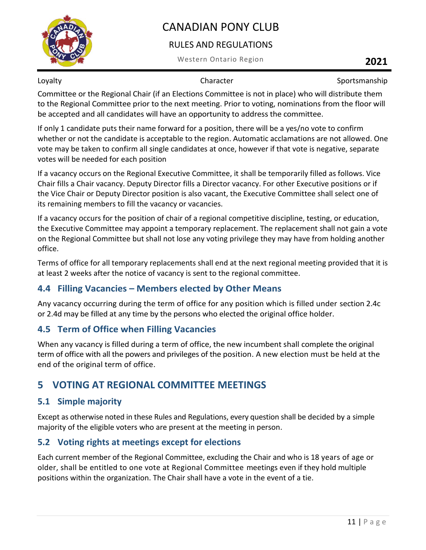

#### RULES AND REGULATIONS

Western Ontario Region **2021**

Loyalty **Character Character** Sportsmanship

Committee or the Regional Chair (if an Elections Committee is not in place) who will distribute them to the Regional Committee prior to the next meeting. Prior to voting, nominations from the floor will be accepted and all candidates will have an opportunity to address the committee.

If only 1 candidate puts their name forward for a position, there will be a yes/no vote to confirm whether or not the candidate is acceptable to the region. Automatic acclamations are not allowed. One vote may be taken to confirm all single candidates at once, however if that vote is negative, separate votes will be needed for each position

If a vacancy occurs on the Regional Executive Committee, it shall be temporarily filled as follows. Vice Chair fills a Chair vacancy. Deputy Director fills a Director vacancy. For other Executive positions or if the Vice Chair or Deputy Director position is also vacant, the Executive Committee shall select one of its remaining members to fill the vacancy or vacancies.

If a vacancy occurs for the position of chair of a regional competitive discipline, testing, or education, the Executive Committee may appoint a temporary replacement. The replacement shall not gain a vote on the Regional Committee but shall not lose any voting privilege they may have from holding another office.

Terms of office for all temporary replacements shall end at the next regional meeting provided that it is at least 2 weeks after the notice of vacancy is sent to the regional committee.

#### <span id="page-11-0"></span>**4.4 Filling Vacancies – Members elected by Other Means**

Any vacancy occurring during the term of office for any position which is filled under section 2.4c or 2.4d may be filled at any time by the persons who elected the original office holder.

#### <span id="page-11-1"></span>**4.5 Term of Office when Filling Vacancies**

When any vacancy is filled during a term of office, the new incumbent shall complete the original term of office with all the powers and privileges of the position. A new election must be held at the end of the original term of office.

## <span id="page-11-2"></span>**5 VOTING AT REGIONAL COMMITTEE MEETINGS**

#### <span id="page-11-3"></span>**5.1 Simple majority**

Except as otherwise noted in these Rules and Regulations, every question shall be decided by a simple majority of the eligible voters who are present at the meeting in person.

#### <span id="page-11-4"></span>**5.2 Voting rights at meetings except for elections**

Each current member of the Regional Committee, excluding the Chair and who is 18 years of age or older, shall be entitled to one vote at Regional Committee meetings even if they hold multiple positions within the organization. The Chair shall have a vote in the event of a tie.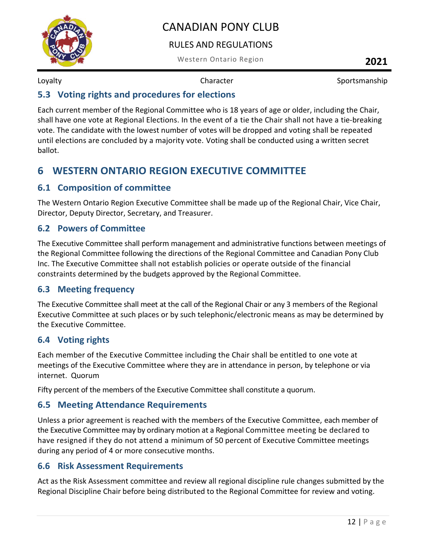

#### RULES AND REGULATIONS

Western Ontario Region **2021**

Loyalty **Character Character** Sportsmanship

#### <span id="page-12-0"></span>**5.3 Voting rights and procedures for elections**

Each current member of the Regional Committee who is 18 years of age or older, including the Chair, shall have one vote at Regional Elections. In the event of a tie the Chair shall not have a tie-breaking vote. The candidate with the lowest number of votes will be dropped and voting shall be repeated until elections are concluded by a majority vote. Voting shall be conducted using a written secret ballot.

### <span id="page-12-1"></span>**6 WESTERN ONTARIO REGION EXECUTIVE COMMITTEE**

#### <span id="page-12-2"></span>**6.1 Composition of committee**

The Western Ontario Region Executive Committee shall be made up of the Regional Chair, Vice Chair, Director, Deputy Director, Secretary, and Treasurer.

#### <span id="page-12-3"></span>**6.2 Powers of Committee**

The Executive Committee shall perform management and administrative functions between meetings of the Regional Committee following the directions of the Regional Committee and Canadian Pony Club Inc. The Executive Committee shall not establish policies or operate outside of the financial constraints determined by the budgets approved by the Regional Committee.

#### <span id="page-12-4"></span>**6.3 Meeting frequency**

The Executive Committee shall meet at the call of the Regional Chair or any 3 members of the Regional Executive Committee at such places or by such telephonic/electronic means as may be determined by the Executive Committee.

#### <span id="page-12-5"></span>**6.4 Voting rights**

Each member of the Executive Committee including the Chair shall be entitled to one vote at meetings of the Executive Committee where they are in attendance in person, by telephone or via internet. Quorum

Fifty percent of the members of the Executive Committee shall constitute a quorum.

#### <span id="page-12-6"></span>**6.5 Meeting Attendance Requirements**

Unless a prior agreement is reached with the members of the Executive Committee, each member of the Executive Committee may by ordinary motion at a Regional Committee meeting be declared to have resigned if they do not attend a minimum of 50 percent of Executive Committee meetings during any period of 4 or more consecutive months.

#### <span id="page-12-7"></span>**6.6 Risk Assessment Requirements**

Act as the Risk Assessment committee and review all regional discipline rule changes submitted by the Regional Discipline Chair before being distributed to the Regional Committee for review and voting.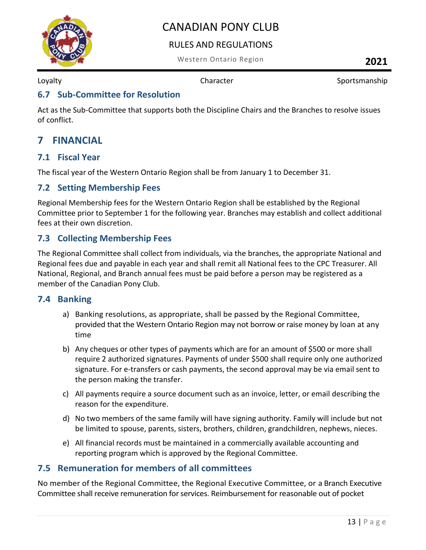

#### RULES AND REGULATIONS

Western Ontario Region **2021**

Loyalty **Character Character** Sportsmanship

#### <span id="page-13-0"></span>**6.7 Sub-Committee for Resolution**

Act as the Sub-Committee that supports both the Discipline Chairs and the Branches to resolve issues of conflict.

#### <span id="page-13-1"></span>**7 FINANCIAL**

#### <span id="page-13-2"></span>**7.1 Fiscal Year**

The fiscal year of the Western Ontario Region shall be from January 1 to December 31.

#### <span id="page-13-3"></span>**7.2 Setting Membership Fees**

Regional Membership fees for the Western Ontario Region shall be established by the Regional Committee prior to September 1 for the following year. Branches may establish and collect additional fees at their own discretion.

#### <span id="page-13-4"></span>**7.3 Collecting Membership Fees**

The Regional Committee shall collect from individuals, via the branches, the appropriate National and Regional fees due and payable in each year and shall remit all National fees to the CPC Treasurer. All National, Regional, and Branch annual fees must be paid before a person may be registered as a member of the Canadian Pony Club.

#### <span id="page-13-5"></span>**7.4 Banking**

- a) Banking resolutions, as appropriate, shall be passed by the Regional Committee, provided that the Western Ontario Region may not borrow or raise money by loan at any time
- b) Any cheques or other types of payments which are for an amount of \$500 or more shall require 2 authorized signatures. Payments of under \$500 shall require only one authorized signature. For e-transfers or cash payments, the second approval may be via email sent to the person making the transfer.
- c) All payments require a source document such as an invoice, letter, or email describing the reason for the expenditure.
- d) No two members of the same family will have signing authority. Family will include but not be limited to spouse, parents, sisters, brothers, children, grandchildren, nephews, nieces.
- e) All financial records must be maintained in a commercially available accounting and reporting program which is approved by the Regional Committee.

#### <span id="page-13-6"></span>**7.5 Remuneration for members of all committees**

No member of the Regional Committee, the Regional Executive Committee, or a Branch Executive Committee shall receive remuneration for services. Reimbursement for reasonable out of pocket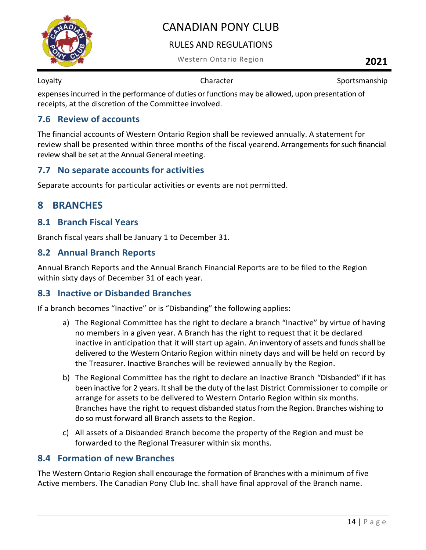

#### RULES AND REGULATIONS

Western Ontario Region **2021**

Loyalty **Character Character** Sportsmanship

expenses incurred in the performance of duties or functions may be allowed, upon presentation of receipts, at the discretion of the Committee involved.

#### <span id="page-14-0"></span>**7.6 Review of accounts**

The financial accounts of Western Ontario Region shall be reviewed annually. A statement for review shall be presented within three months of the fiscal yearend. Arrangements for such financial review shall be set at the Annual General meeting.

#### <span id="page-14-1"></span>**7.7 No separate accounts for activities**

<span id="page-14-2"></span>Separate accounts for particular activities or events are not permitted.

#### **8 BRANCHES**

#### <span id="page-14-3"></span>**8.1 Branch Fiscal Years**

Branch fiscal years shall be January 1 to December 31.

#### <span id="page-14-4"></span>**8.2 Annual Branch Reports**

Annual Branch Reports and the Annual Branch Financial Reports are to be filed to the Region within sixty days of December 31 of each year.

#### <span id="page-14-5"></span>**8.3 Inactive or Disbanded Branches**

If a branch becomes "Inactive" or is "Disbanding" the following applies:

- a) The Regional Committee has the right to declare a branch "Inactive" by virtue of having no members in a given year. A Branch has the right to request that it be declared inactive in anticipation that it will start up again. An inventory of assets and funds shall be delivered to the Western Ontario Region within ninety days and will be held on record by the Treasurer. Inactive Branches will be reviewed annually by the Region.
- b) The Regional Committee has the right to declare an Inactive Branch "Disbanded" if it has been inactive for 2 years. It shall be the duty of the last District Commissioner to compile or arrange for assets to be delivered to Western Ontario Region within six months. Branches have the right to request disbanded status from the Region. Branches wishing to do so must forward all Branch assets to the Region.
- c) All assets of a Disbanded Branch become the property of the Region and must be forwarded to the Regional Treasurer within six months.

#### <span id="page-14-6"></span>**8.4 Formation of new Branches**

The Western Ontario Region shall encourage the formation of Branches with a minimum of five Active members. The Canadian Pony Club Inc. shall have final approval of the Branch name.